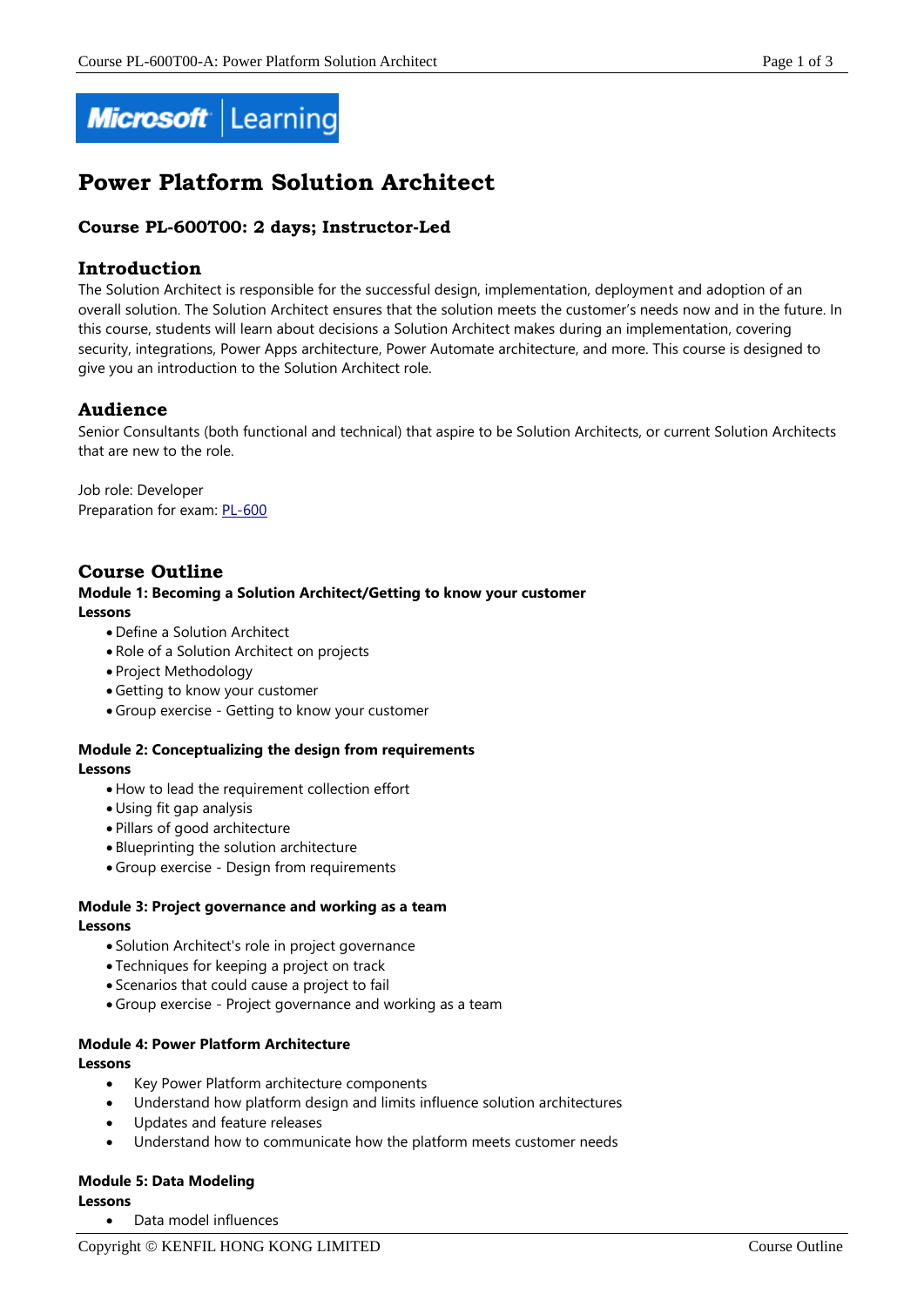

# **Power Platform Solution Architect**

## **Course PL-600T00: 2 days; Instructor-Led**

#### **Introduction**

The Solution Architect is responsible for the successful design, implementation, deployment and adoption of an overall solution. The Solution Architect ensures that the solution meets the customer's needs now and in the future. In this course, students will learn about decisions a Solution Architect makes during an implementation, covering security, integrations, Power Apps architecture, Power Automate architecture, and more. This course is designed to give you an introduction to the Solution Architect role.

## **Audience**

Senior Consultants (both functional and technical) that aspire to be Solution Architects, or current Solution Architects that are new to the role.

Job role: Developer Preparation for exam: [PL-600](https://docs.microsoft.com/en-us/learn/certifications/exams/pl-600)

## **Course Outline**

#### **Module 1: Becoming a Solution Architect/Getting to know your customer Lessons**

- Define a Solution Architect
- Role of a Solution Architect on projects
- Project Methodology
- Getting to know your customer
- Group exercise Getting to know your customer

#### **Module 2: Conceptualizing the design from requirements Lessons**

- How to lead the requirement collection effort
- Using fit gap analysis
- Pillars of good architecture
- Blueprinting the solution architecture
- Group exercise Design from requirements

#### **Module 3: Project governance and working as a team Lessons**

- Solution Architect's role in project governance
- Techniques for keeping a project on track
- Scenarios that could cause a project to fail
- Group exercise Project governance and working as a team

### **Module 4: Power Platform Architecture**

#### **Lessons**

- Key Power Platform architecture components
- Understand how platform design and limits influence solution architectures
- Updates and feature releases
- Understand how to communicate how the platform meets customer needs

#### **Module 5: Data Modeling**

- **Lessons**
	- Data model influences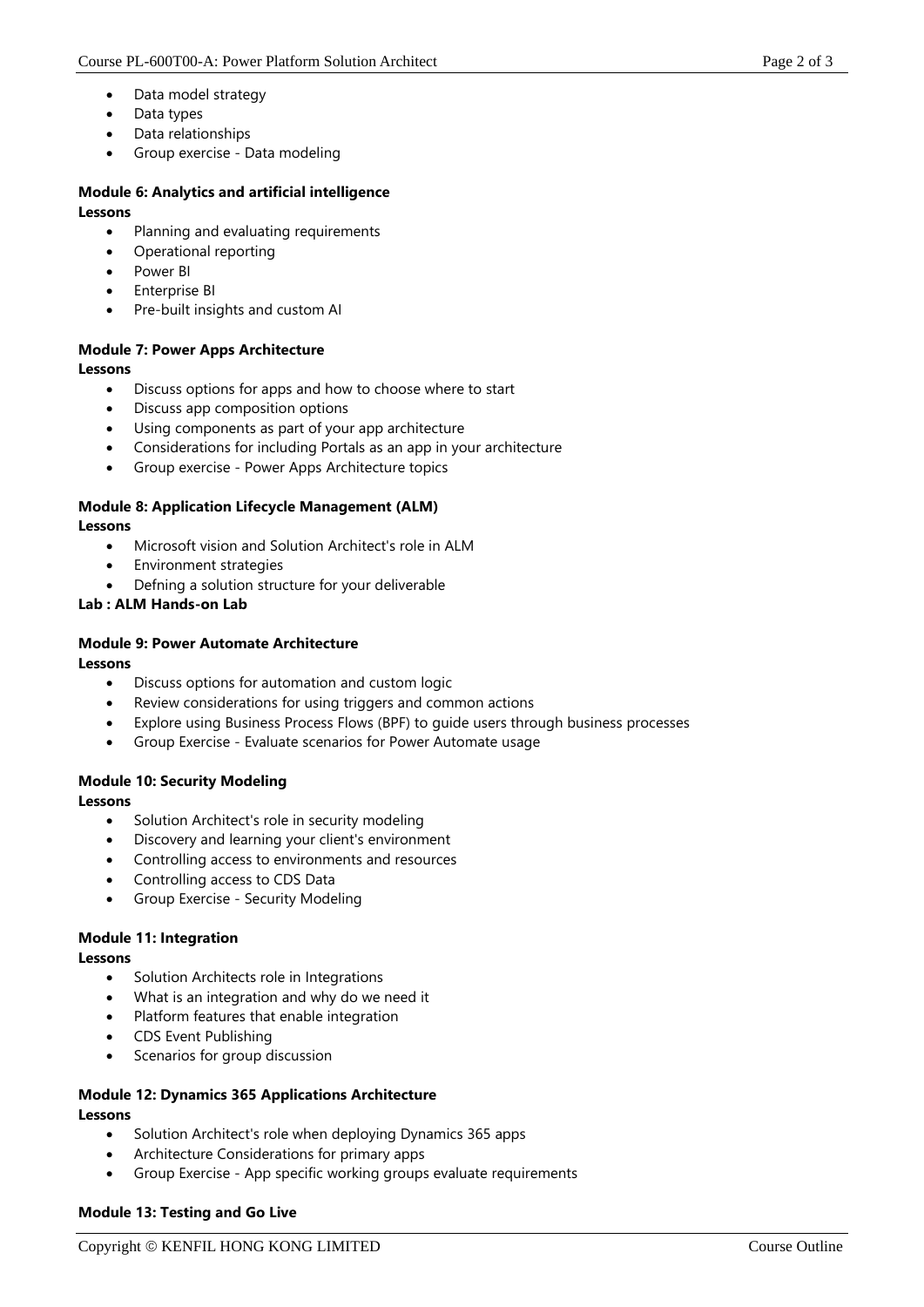- Data model strategy
- Data types
- Data relationships
- Group exercise Data modeling

#### **Module 6: Analytics and artificial intelligence Lessons**

- Planning and evaluating requirements
- Operational reporting
- Power BI
- Enterprise BI
- Pre-built insights and custom AI

#### **Module 7: Power Apps Architecture**

**Lessons**

- Discuss options for apps and how to choose where to start
- Discuss app composition options
- Using components as part of your app architecture
- Considerations for including Portals as an app in your architecture
- Group exercise Power Apps Architecture topics

#### **Module 8: Application Lifecycle Management (ALM)**

**Lessons**

- Microsoft vision and Solution Architect's role in ALM
- Environment strategies
- Defning a solution structure for your deliverable

#### **Lab : ALM Hands-on Lab**

#### **Module 9: Power Automate Architecture**

#### **Lessons**

- Discuss options for automation and custom logic
- Review considerations for using triggers and common actions
- Explore using Business Process Flows (BPF) to guide users through business processes
- Group Exercise Evaluate scenarios for Power Automate usage

## **Module 10: Security Modeling**

**Lessons**

- Solution Architect's role in security modeling
- Discovery and learning your client's environment
- Controlling access to environments and resources
- Controlling access to CDS Data
- Group Exercise Security Modeling

## **Module 11: Integration**

**Lessons**

- Solution Architects role in Integrations
- What is an integration and why do we need it
- Platform features that enable integration
- CDS Event Publishing
- Scenarios for group discussion

## **Module 12: Dynamics 365 Applications Architecture**

**Lessons**

- Solution Architect's role when deploying Dynamics 365 apps
- Architecture Considerations for primary apps
- Group Exercise App specific working groups evaluate requirements

#### **Module 13: Testing and Go Live**